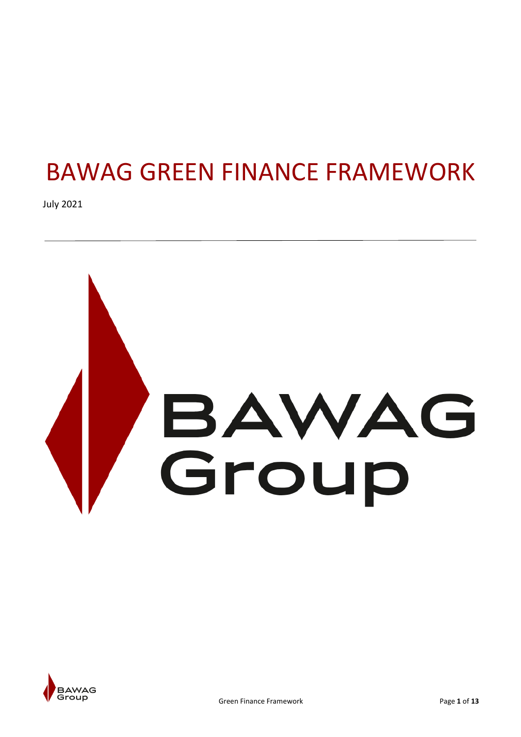# BAWAG GREEN FINANCE FRAMEWORK

July 2021



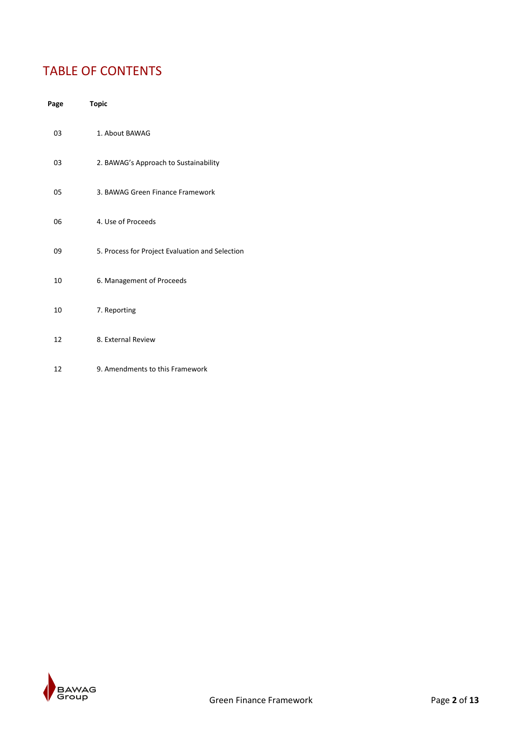# TABLE OF CONTENTS

| Page | <b>Topic</b>                                    |
|------|-------------------------------------------------|
| 03   | 1. About BAWAG                                  |
| 03   | 2. BAWAG's Approach to Sustainability           |
| 05   | 3. BAWAG Green Finance Framework                |
| 06   | 4. Use of Proceeds                              |
| 09   | 5. Process for Project Evaluation and Selection |
| 10   | 6. Management of Proceeds                       |
| 10   | 7. Reporting                                    |
| 12   | 8. External Review                              |
| 12   | 9. Amendments to this Framework                 |

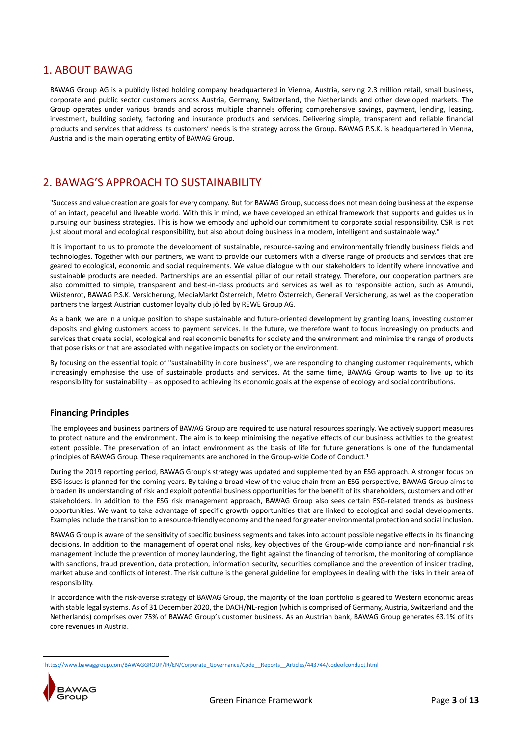## 1. ABOUT BAWAG

BAWAG Group AG is a publicly listed holding company headquartered in Vienna, Austria, serving 2.3 million retail, small business, corporate and public sector customers across Austria, Germany, Switzerland, the Netherlands and other developed markets. The Group operates under various brands and across multiple channels offering comprehensive savings, payment, lending, leasing, investment, building society, factoring and insurance products and services. Delivering simple, transparent and reliable financial products and services that address its customers' needs is the strategy across the Group. BAWAG P.S.K. is headquartered in Vienna, Austria and is the main operating entity of BAWAG Group.

# 2. BAWAG'S APPROACH TO SUSTAINABILITY

"Success and value creation are goals for every company. But for BAWAG Group, success does not mean doing business at the expense of an intact, peaceful and liveable world. With this in mind, we have developed an ethical framework that supports and guides us in pursuing our business strategies. This is how we embody and uphold our commitment to corporate social responsibility. CSR is not just about moral and ecological responsibility, but also about doing business in a modern, intelligent and sustainable way."

It is important to us to promote the development of sustainable, resource-saving and environmentally friendly business fields and technologies. Together with our partners, we want to provide our customers with a diverse range of products and services that are geared to ecological, economic and social requirements. We value dialogue with our stakeholders to identify where innovative and sustainable products are needed. Partnerships are an essential pillar of our retail strategy. Therefore, our cooperation partners are also committed to simple, transparent and best-in-class products and services as well as to responsible action, such as Amundi, Wüstenrot, BAWAG P.S.K. Versicherung, MediaMarkt Österreich, Metro Österreich, Generali Versicherung, as well as the cooperation partners the largest Austrian customer loyalty club jö led by REWE Group AG.

As a bank, we are in a unique position to shape sustainable and future-oriented development by granting loans, investing customer deposits and giving customers access to payment services. In the future, we therefore want to focus increasingly on products and services that create social, ecological and real economic benefits for society and the environment and minimise the range of products that pose risks or that are associated with negative impacts on society or the environment.

By focusing on the essential topic of "sustainability in core business", we are responding to changing customer requirements, which increasingly emphasise the use of sustainable products and services. At the same time, BAWAG Group wants to live up to its responsibility for sustainability – as opposed to achieving its economic goals at the expense of ecology and social contributions.

## **Financing Principles**

The employees and business partners of BAWAG Group are required to use natural resources sparingly. We actively support measures to protect nature and the environment. The aim is to keep minimising the negative effects of our business activities to the greatest extent possible. The preservation of an intact environment as the basis of life for future generations is one of the fundamental principles of BAWAG Group. These requirements are anchored in the Group-wide Code of Conduct. 1

During the 2019 reporting period, BAWAG Group's strategy was updated and supplemented by an ESG approach. A stronger focus on ESG issues is planned for the coming years. By taking a broad view of the value chain from an ESG perspective, BAWAG Group aims to broaden its understanding of risk and exploit potential business opportunities for the benefit of its shareholders, customers and other stakeholders. In addition to the ESG risk management approach, BAWAG Group also sees certain ESG-related trends as business opportunities. We want to take advantage of specific growth opportunities that are linked to ecological and social developments. Examples include the transition to a resource-friendly economy and the need for greater environmental protection and social inclusion.

BAWAG Group is aware of the sensitivity of specific business segments and takes into account possible negative effects in its financing decisions. In addition to the management of operational risks, key objectives of the Group-wide compliance and non-financial risk management include the prevention of money laundering, the fight against the financing of terrorism, the monitoring of compliance with sanctions, fraud prevention, data protection, information security, securities compliance and the prevention of insider trading, market abuse and conflicts of interest. The risk culture is the general guideline for employees in dealing with the risks in their area of responsibility

In accordance with the risk-averse strategy of BAWAG Group, the majority of the loan portfolio is geared to Western economic areas with stable legal systems. As of 31 December 2020, the DACH/NL-region (which is comprised of Germany, Austria, Switzerland and the Netherlands) comprises over 75% of BAWAG Group's customer business. As an Austrian bank, BAWAG Group generates 63.1% of its core revenues in Austria.

<sup>1</sup>[https://www.bawaggroup.com/BAWAGGROUP/IR/EN/Corporate\\_Governance/Code\\_\\_Reports\\_\\_Articles/443744/codeofconduct.html](https://www.bawaggroup.com/BAWAGGROUP/IR/EN/Corporate_Governance/Code__Reports__Articles/443744/codeofconduct.html)



**.**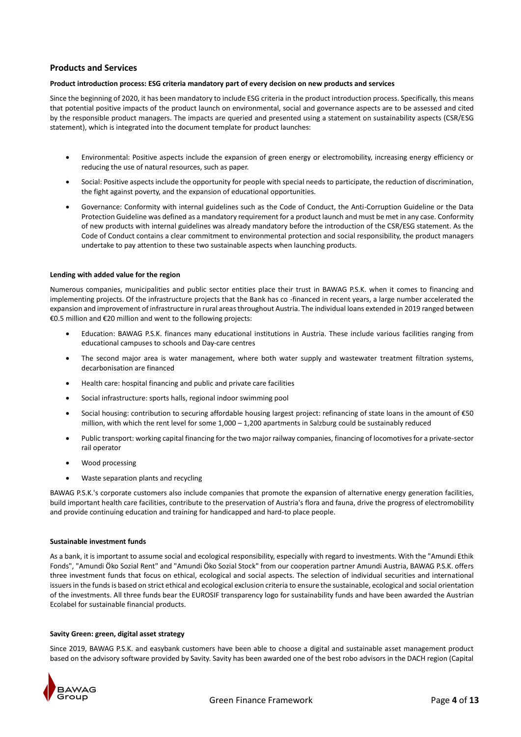## **Products and Services**

## **Product introduction process: ESG criteria mandatory part of every decision on new products and services**

Since the beginning of 2020, it has been mandatory to include ESG criteria in the product introduction process. Specifically, this means that potential positive impacts of the product launch on environmental, social and governance aspects are to be assessed and cited by the responsible product managers. The impacts are queried and presented using a statement on sustainability aspects (CSR/ESG statement), which is integrated into the document template for product launches:

- Environmental: Positive aspects include the expansion of green energy or electromobility, increasing energy efficiency or reducing the use of natural resources, such as paper.
- Social: Positive aspects include the opportunity for people with special needs to participate, the reduction of discrimination, the fight against poverty, and the expansion of educational opportunities.
- Governance: Conformity with internal guidelines such as the Code of Conduct, the Anti-Corruption Guideline or the Data Protection Guideline was defined as a mandatory requirement for a product launch and must be met in any case. Conformity of new products with internal guidelines was already mandatory before the introduction of the CSR/ESG statement. As the Code of Conduct contains a clear commitment to environmental protection and social responsibility, the product managers undertake to pay attention to these two sustainable aspects when launching products.

## **Lending with added value for the region**

Numerous companies, municipalities and public sector entities place their trust in BAWAG P.S.K. when it comes to financing and implementing projects. Of the infrastructure projects that the Bank has co -financed in recent years, a large number accelerated the expansion and improvement of infrastructure in rural areas throughout Austria. The individual loans extended in 2019 ranged between €0.5 million and €20 million and went to the following projects:

- Education: BAWAG P.S.K. finances many educational institutions in Austria. These include various facilities ranging from educational campuses to schools and Day-care centres
- The second major area is water management, where both water supply and wastewater treatment filtration systems, decarbonisation are financed
- Health care: hospital financing and public and private care facilities
- Social infrastructure: sports halls, regional indoor swimming pool
- Social housing: contribution to securing affordable housing largest project: refinancing of state loans in the amount of €50 million, with which the rent level for some 1,000 – 1,200 apartments in Salzburg could be sustainably reduced
- Public transport: working capital financing for the two major railway companies, financing of locomotives for a private-sector rail operator
- Wood processing
- Waste separation plants and recycling

BAWAG P.S.K.'s corporate customers also include companies that promote the expansion of alternative energy generation facilities, build important health care facilities, contribute to the preservation of Austria's flora and fauna, drive the progress of electromobility and provide continuing education and training for handicapped and hard-to place people.

## **Sustainable investment funds**

As a bank, it is important to assume social and ecological responsibility, especially with regard to investments. With the "Amundi Ethik Fonds", "Amundi Öko Sozial Rent" and "Amundi Öko Sozial Stock" from our cooperation partner Amundi Austria, BAWAG P.S.K. offers three investment funds that focus on ethical, ecological and social aspects. The selection of individual securities and international issuers in the funds is based on strict ethical and ecological exclusion criteria to ensure the sustainable, ecological and social orientation of the investments. All three funds bear the EUROSIF transparency logo for sustainability funds and have been awarded the Austrian Ecolabel for sustainable financial products.

## **Savity Green: green, digital asset strategy**

Since 2019, BAWAG P.S.K. and easybank customers have been able to choose a digital and sustainable asset management product based on the advisory software provided by Savity. Savity has been awarded one of the best robo advisors in the DACH region (Capital

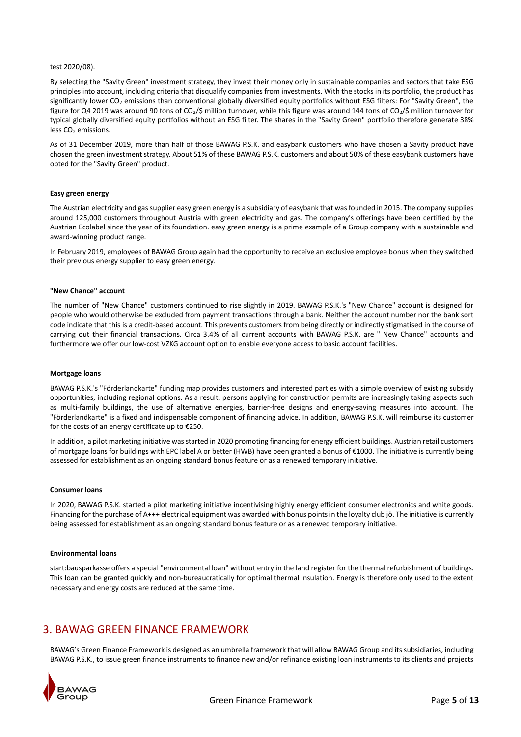## test 2020/08).

By selecting the "Savity Green" investment strategy, they invest their money only in sustainable companies and sectors that take ESG principles into account, including criteria that disqualify companies from investments. With the stocks in its portfolio, the product has significantly lower CO<sub>2</sub> emissions than conventional globally diversified equity portfolios without ESG filters: For "Savity Green", the figure for Q4 2019 was around 90 tons of CO<sub>2</sub>/\$ million turnover, while this figure was around 144 tons of CO<sub>2</sub>/\$ million turnover for typical globally diversified equity portfolios without an ESG filter. The shares in the "Savity Green" portfolio therefore generate 38% less  $CO<sub>2</sub>$  emissions.

As of 31 December 2019, more than half of those BAWAG P.S.K. and easybank customers who have chosen a Savity product have chosen the green investment strategy. About 51% of these BAWAG P.S.K. customers and about 50% of these easybank customers have opted for the "Savity Green" product.

## **Easy green energy**

The Austrian electricity and gas supplier easy green energy is a subsidiary of easybank that was founded in 2015. The company supplies around 125,000 customers throughout Austria with green electricity and gas. The company's offerings have been certified by the Austrian Ecolabel since the year of its foundation. easy green energy is a prime example of a Group company with a sustainable and award-winning product range.

In February 2019, employees of BAWAG Group again had the opportunity to receive an exclusive employee bonus when they switched their previous energy supplier to easy green energy.

## **"New Chance" account**

The number of "New Chance" customers continued to rise slightly in 2019. BAWAG P.S.K.'s "New Chance" account is designed for people who would otherwise be excluded from payment transactions through a bank. Neither the account number nor the bank sort code indicate that this is a credit-based account. This prevents customers from being directly or indirectly stigmatised in the course of carrying out their financial transactions. Circa 3.4% of all current accounts with BAWAG P.S.K. are " New Chance" accounts and furthermore we offer our low-cost VZKG account option to enable everyone access to basic account facilities.

## **Mortgage loans**

BAWAG P.S.K.'s "Förderlandkarte" funding map provides customers and interested parties with a simple overview of existing subsidy opportunities, including regional options. As a result, persons applying for construction permits are increasingly taking aspects such as multi-family buildings, the use of alternative energies, barrier-free designs and energy-saving measures into account. The "Förderlandkarte" is a fixed and indispensable component of financing advice. In addition, BAWAG P.S.K. will reimburse its customer for the costs of an energy certificate up to €250.

In addition, a pilot marketing initiative was started in 2020 promoting financing for energy efficient buildings. Austrian retail customers of mortgage loans for buildings with EPC label A or better (HWB) have been granted a bonus of €1000. The initiative is currently being assessed for establishment as an ongoing standard bonus feature or as a renewed temporary initiative.

## **Consumer loans**

In 2020, BAWAG P.S.K. started a pilot marketing initiative incentivising highly energy efficient consumer electronics and white goods. Financing for the purchase of A+++ electrical equipment was awarded with bonus points in the loyalty club jö. The initiative is currently being assessed for establishment as an ongoing standard bonus feature or as a renewed temporary initiative.

#### **Environmental loans**

start:bausparkasse offers a special "environmental loan" without entry in the land register for the thermal refurbishment of buildings. This loan can be granted quickly and non-bureaucratically for optimal thermal insulation. Energy is therefore only used to the extent necessary and energy costs are reduced at the same time.

## 3. BAWAG GREEN FINANCE FRAMEWORK

BAWAG's Green Finance Framework is designed as an umbrella framework that will allow BAWAG Group and its subsidiaries, including BAWAG P.S.K., to issue green finance instruments to finance new and/or refinance existing loan instruments to its clients and projects

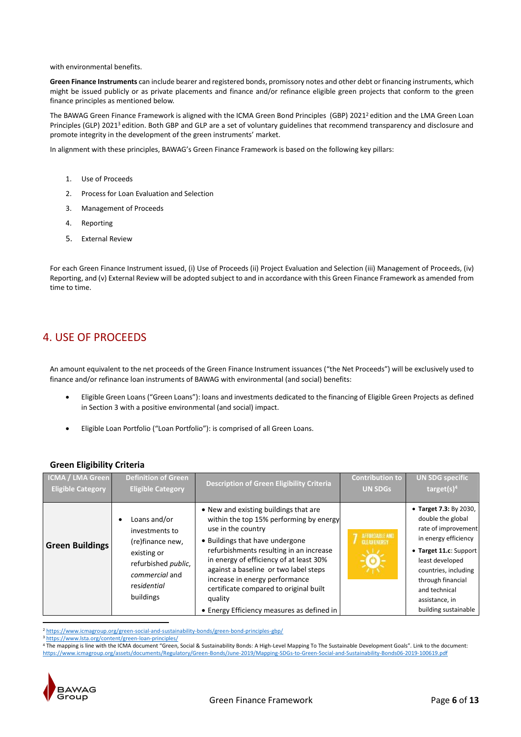with environmental benefits.

**Green Finance Instruments** can include bearer and registered bonds, promissory notes and other debt or financing instruments, which might be issued publicly or as private placements and finance and/or refinance eligible green projects that conform to the green finance principles as mentioned below.

The BAWAG Green Finance Framework is aligned with the ICMA Green Bond Principles (GBP) 2021<sup>2</sup> edition and the LMA Green Loan Principles (GLP) 2021<sup>3</sup> edition. Both GBP and GLP are a set of voluntary guidelines that recommend transparency and disclosure and promote integrity in the development of the green instruments' market.

In alignment with these principles, BAWAG's Green Finance Framework is based on the following key pillars:

- 1. Use of Proceeds
- 2. Process for Loan Evaluation and Selection
- 3. Management of Proceeds
- 4. Reporting
- 5. External Review

For each Green Finance Instrument issued, (i) Use of Proceeds (ii) Project Evaluation and Selection (iii) Management of Proceeds, (iv) Reporting, and (v) External Review will be adopted subject to and in accordance with this Green Finance Framework as amended from time to time.

# 4. USE OF PROCEEDS

An amount equivalent to the net proceeds of the Green Finance Instrument issuances ("the Net Proceeds") will be exclusively used to finance and/or refinance loan instruments of BAWAG with environmental (and social) benefits:

- Eligible Green Loans ("Green Loans"): loans and investments dedicated to the financing of Eligible Green Projects as defined in Section 3 with a positive environmental (and social) impact.
- Eligible Loan Portfolio ("Loan Portfolio"): is comprised of all Green Loans.

## **Green Eligibility Criteria**

| ICMA / LMA Green         | <b>Definition of Green</b>                                                                                                                     | <b>Description of Green Eligibility Criteria</b>                                                                                                                                                                                                                                                                                                                                                              | <b>Contribution to</b>                     | <b>UN SDG specific</b>                                                                                                                                                                                                                          |
|--------------------------|------------------------------------------------------------------------------------------------------------------------------------------------|---------------------------------------------------------------------------------------------------------------------------------------------------------------------------------------------------------------------------------------------------------------------------------------------------------------------------------------------------------------------------------------------------------------|--------------------------------------------|-------------------------------------------------------------------------------------------------------------------------------------------------------------------------------------------------------------------------------------------------|
| <b>Eligible Category</b> | <b>Eligible Category</b>                                                                                                                       |                                                                                                                                                                                                                                                                                                                                                                                                               | <b>UN SDGs</b>                             | target $(s)^4$                                                                                                                                                                                                                                  |
| <b>Green Buildings</b>   | Loans and/or<br>investments to<br>(re)finance new,<br>existing or<br>refurbished <i>public</i> ,<br>commercial and<br>residential<br>buildings | • New and existing buildings that are<br>within the top 15% performing by energy<br>use in the country<br>• Buildings that have undergone<br>refurbishments resulting in an increase<br>in energy of efficiency of at least 30%<br>against a baseline or two label steps<br>increase in energy performance<br>certificate compared to original built<br>quality<br>• Energy Efficiency measures as defined in | AFFORDABLE AND<br><b>GLEANENERGY</b><br>ĭΰ | • Target 7.3: By 2030,<br>double the global<br>rate of improvement<br>in energy efficiency<br>• Target 11.c: Support<br>least developed<br>countries, including<br>through financial<br>and technical<br>assistance, in<br>building sustainable |

**.** <sup>2</sup> <https://www.icmagroup.org/green-social-and-sustainability-bonds/green-bond-principles-gbp/>

<sup>3</sup> <https://www.lsta.org/content/green-loan-principles/>

<sup>4</sup> The mapping is line with the ICMA document "Green, Social & Sustainability Bonds: A High-Level Mapping To The Sustainable Development Goals". Link to the document: <https://www.icmagroup.org/assets/documents/Regulatory/Green-Bonds/June-2019/Mapping-SDGs-to-Green-Social-and-Sustainability-Bonds06-2019-100619.pdf>

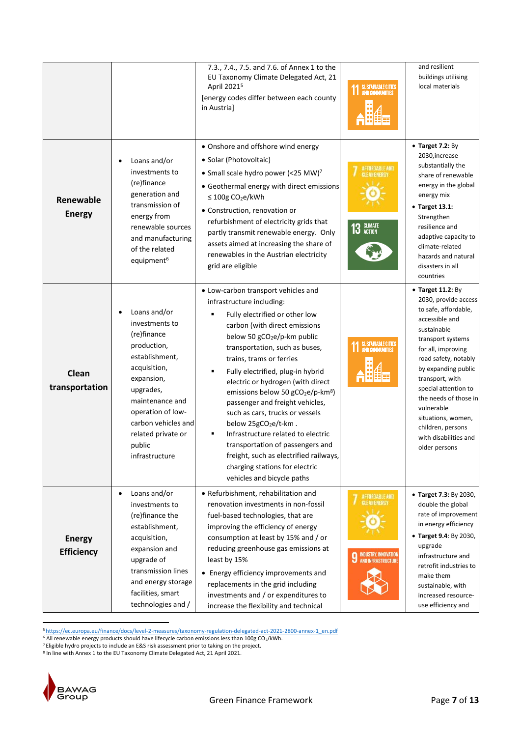|                                    |                                                                                                                                                                                                                                            | 7.3., 7.4., 7.5. and 7.6. of Annex 1 to the<br>EU Taxonomy Climate Delegated Act, 21<br>April 2021 <sup>5</sup><br>[energy codes differ between each county<br>in Austria]                                                                                                                                                                                                                                                                                                                                                                                                                                                                                                             | SUSTAINABLE CITIES                                                          | and resilient<br>buildings utilising<br>local materials                                                                                                                                                                                                                                                                                                             |
|------------------------------------|--------------------------------------------------------------------------------------------------------------------------------------------------------------------------------------------------------------------------------------------|----------------------------------------------------------------------------------------------------------------------------------------------------------------------------------------------------------------------------------------------------------------------------------------------------------------------------------------------------------------------------------------------------------------------------------------------------------------------------------------------------------------------------------------------------------------------------------------------------------------------------------------------------------------------------------------|-----------------------------------------------------------------------------|---------------------------------------------------------------------------------------------------------------------------------------------------------------------------------------------------------------------------------------------------------------------------------------------------------------------------------------------------------------------|
| Renewable<br><b>Energy</b>         | Loans and/or<br>investments to<br>(re)finance<br>generation and<br>transmission of<br>energy from<br>renewable sources<br>and manufacturing<br>of the related<br>equipment <sup>6</sup>                                                    | • Onshore and offshore wind energy<br>• Solar (Photovoltaic)<br>• Small scale hydro power (<25 MW) <sup>7</sup><br>• Geothermal energy with direct emissions<br>≤ 100g CO <sub>2</sub> e/kWh<br>• Construction, renovation or<br>refurbishment of electricity grids that<br>partly transmit renewable energy. Only<br>assets aimed at increasing the share of<br>renewables in the Austrian electricity<br>grid are eligible                                                                                                                                                                                                                                                           | AFFORDABLE AND<br>CLEANENERGY<br>13 GLIMATE                                 | • Target 7.2: By<br>2030, increase<br>substantially the<br>share of renewable<br>energy in the global<br>energy mix<br>• Target 13.1:<br>Strengthen<br>resilience and<br>adaptive capacity to<br>climate-related<br>hazards and natural<br>disasters in all<br>countries                                                                                            |
| Clean<br>transportation            | Loans and/or<br>investments to<br>(re)finance<br>production,<br>establishment,<br>acquisition,<br>expansion,<br>upgrades,<br>maintenance and<br>operation of low-<br>carbon vehicles and<br>related private or<br>public<br>infrastructure | • Low-carbon transport vehicles and<br>infrastructure including:<br>Fully electrified or other low<br>carbon (with direct emissions<br>below 50 gCO <sub>2</sub> e/p-km public<br>transportation, such as buses,<br>trains, trams or ferries<br>Fully electrified, plug-in hybrid<br>٠<br>electric or hydrogen (with direct<br>emissions below 50 gCO <sub>2</sub> e/p-km <sup>8</sup> )<br>passenger and freight vehicles,<br>such as cars, trucks or vessels<br>below 25gCO <sub>2</sub> e/t-km.<br>Infrastructure related to electric<br>transportation of passengers and<br>freight, such as electrified railways,<br>charging stations for electric<br>vehicles and bicycle paths | SUSTAINABLE CITIES<br>AND COMMUNITIES                                       | • Target 11.2: By<br>2030, provide access<br>to safe, affordable,<br>accessible and<br>sustainable<br>transport systems<br>for all, improving<br>road safety, notably<br>by expanding public<br>transport, with<br>special attention to<br>the needs of those in<br>vulnerable<br>situations, women,<br>children, persons<br>with disabilities and<br>older persons |
| <b>Energy</b><br><b>Efficiency</b> | Loans and/or<br>$\bullet$<br>investments to<br>(re)finance the<br>establishment,<br>acquisition,<br>expansion and<br>upgrade of<br>transmission lines<br>and energy storage<br>facilities, smart<br>technologies and /                     | • Refurbishment, rehabilitation and<br>renovation investments in non-fossil<br>fuel-based technologies, that are<br>improving the efficiency of energy<br>consumption at least by 15% and / or<br>reducing greenhouse gas emissions at<br>least by 15%<br>• Energy efficiency improvements and<br>replacements in the grid including<br>investments and / or expenditures to<br>increase the flexibility and technical                                                                                                                                                                                                                                                                 | AFFORDABLE AND<br>GLEANENERGY<br>INDUSTRY, INNOVATION<br>AND INFRASTRUCTURE | • Target 7.3: By 2030,<br>double the global<br>rate of improvement<br>in energy efficiency<br>• Target 9.4: By 2030,<br>upgrade<br>infrastructure and<br>retrofit industries to<br>make them<br>sustainable, with<br>increased resource-<br>use efficiency and                                                                                                      |

**.** <sup>5</sup> [https://ec.europa.eu/finance/docs/level-2-measures/taxonomy-regulation-delegated-act-2021-2800-annex-1\\_en.pdf](https://ec.europa.eu/finance/docs/level-2-measures/taxonomy-regulation-delegated-act-2021-2800-annex-1_en.pdf)

 $6$  All renewable energy products should have lifecycle carbon emissions less than 100g CO<sub>2</sub>/kWh.

 $7$  Eligible hydro projects to include an E&S risk assessment prior to taking on the project.

8 In line with Annex 1 to the EU Taxonomy Climate Delegated Act, 21 April 2021.

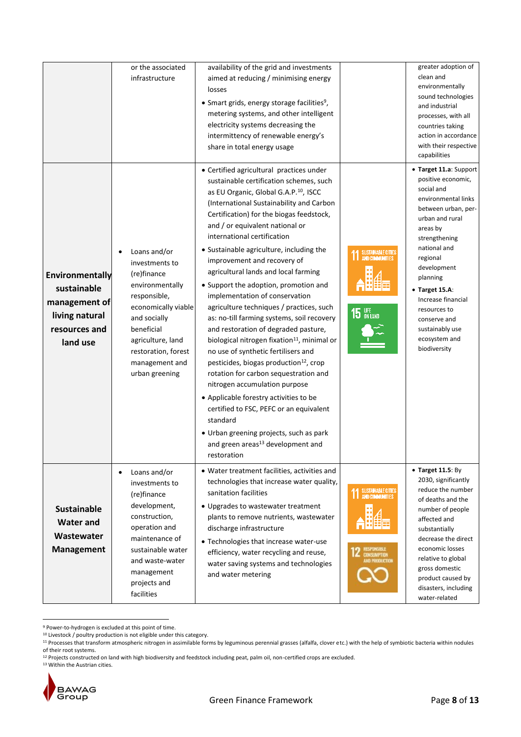|                                                                                                | or the associated<br>infrastructure                                                                                                                                                                                   | availability of the grid and investments<br>aimed at reducing / minimising energy                                                                                                                                                                                                                                                                                                                                                                                                                                                                                                                                                                                                                                                                                                                                                                                                                                                                                                                                                                                                |                                      | greater adoption of<br>clean and<br>environmentally                                                                                                                                                                                                                                                                                         |
|------------------------------------------------------------------------------------------------|-----------------------------------------------------------------------------------------------------------------------------------------------------------------------------------------------------------------------|----------------------------------------------------------------------------------------------------------------------------------------------------------------------------------------------------------------------------------------------------------------------------------------------------------------------------------------------------------------------------------------------------------------------------------------------------------------------------------------------------------------------------------------------------------------------------------------------------------------------------------------------------------------------------------------------------------------------------------------------------------------------------------------------------------------------------------------------------------------------------------------------------------------------------------------------------------------------------------------------------------------------------------------------------------------------------------|--------------------------------------|---------------------------------------------------------------------------------------------------------------------------------------------------------------------------------------------------------------------------------------------------------------------------------------------------------------------------------------------|
|                                                                                                |                                                                                                                                                                                                                       | losses<br>• Smart grids, energy storage facilities <sup>9</sup> ,<br>metering systems, and other intelligent<br>electricity systems decreasing the<br>intermittency of renewable energy's<br>share in total energy usage                                                                                                                                                                                                                                                                                                                                                                                                                                                                                                                                                                                                                                                                                                                                                                                                                                                         |                                      | sound technologies<br>and industrial<br>processes, with all<br>countries taking<br>action in accordance<br>with their respective<br>capabilities                                                                                                                                                                                            |
| Environmentally<br>sustainable<br>management of<br>living natural<br>resources and<br>land use | Loans and/or<br>investments to<br>(re)finance<br>environmentally<br>responsible,<br>economically viable<br>and socially<br>beneficial<br>agriculture, land<br>restoration, forest<br>management and<br>urban greening | • Certified agricultural practices under<br>sustainable certification schemes, such<br>as EU Organic, Global G.A.P. <sup>10</sup> , ISCC<br>(International Sustainability and Carbon<br>Certification) for the biogas feedstock,<br>and / or equivalent national or<br>international certification<br>• Sustainable agriculture, including the<br>improvement and recovery of<br>agricultural lands and local farming<br>• Support the adoption, promotion and<br>implementation of conservation<br>agriculture techniques / practices, such<br>as: no-till farming systems, soil recovery<br>and restoration of degraded pasture,<br>biological nitrogen fixation <sup>11</sup> , minimal or<br>no use of synthetic fertilisers and<br>pesticides, biogas production <sup>12</sup> , crop<br>rotation for carbon sequestration and<br>nitrogen accumulation purpose<br>• Applicable forestry activities to be<br>certified to FSC, PEFC or an equivalent<br>standard<br>• Urban greening projects, such as park<br>and green areas <sup>13</sup> development and<br>restoration | SUSTAINABLE CITIES<br><b>15 UFE</b>  | • Target 11.a: Support<br>positive economic,<br>social and<br>environmental links<br>between urban, per-<br>urban and rural<br>areas by<br>strengthening<br>national and<br>regional<br>development<br>planning<br>• Target 15.A:<br>Increase financial<br>resources to<br>conserve and<br>sustainably use<br>ecosystem and<br>biodiversity |
| <b>Sustainable</b><br>Water and<br>Wastewater<br><b>Management</b>                             | Loans and/or<br>$\bullet$<br>investments to<br>(re)finance<br>development,<br>construction,<br>operation and<br>maintenance of<br>sustainable water<br>and waste-water<br>management<br>projects and<br>facilities    | • Water treatment facilities, activities and<br>technologies that increase water quality,<br>sanitation facilities<br>• Upgrades to wastewater treatment<br>plants to remove nutrients, wastewater<br>discharge infrastructure<br>• Technologies that increase water-use<br>efficiency, water recycling and reuse,<br>water saving systems and technologies<br>and water metering                                                                                                                                                                                                                                                                                                                                                                                                                                                                                                                                                                                                                                                                                                | SUSTAINABLE CITIES<br>AND PRODUCTION | $\bullet$ Target 11.5: By<br>2030, significantly<br>reduce the number<br>of deaths and the<br>number of people<br>affected and<br>substantially<br>decrease the direct<br>economic losses<br>relative to global<br>gross domestic<br>product caused by<br>disasters, including<br>water-related                                             |

**<sup>.</sup>** <sup>9</sup> Power-to-hydrogen is excluded at this point of time.

<sup>13</sup> Within the Austrian cities.



 $10$  Livestock / poultry production is not eligible under this category.

<sup>&</sup>lt;sup>11</sup> Processes that transform atmospheric nitrogen in assimilable forms by leguminous perennial grasses (alfalfa, clover etc.) with the help of symbiotic bacteria within nodules of their root systems.

<sup>&</sup>lt;sup>12</sup> Projects constructed on land with high biodiversity and feedstock including peat, palm oil, non-certified crops are excluded.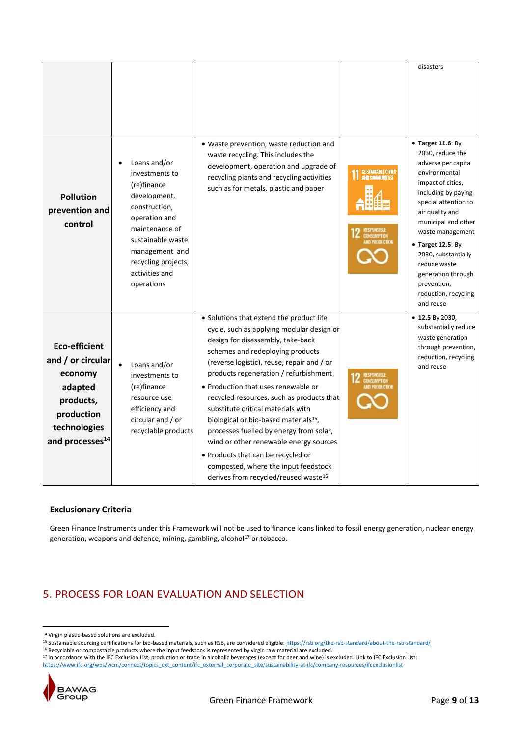| <b>Pollution</b><br>prevention and<br>control                                                                                             | Loans and/or<br>investments to<br>(re)finance<br>development,<br>construction,<br>operation and<br>maintenance of<br>sustainable waste<br>management and<br>recycling projects,<br>activities and<br>operations | • Waste prevention, waste reduction and<br>waste recycling. This includes the<br>development, operation and upgrade of<br>recycling plants and recycling activities<br>such as for metals, plastic and paper                                                                                                                                                                                                                                                                                                                                                                                                                                                | SUSTAINABLE CITIES<br>AND COMMUNITIES | disasters<br>$\bullet$ Target 11.6: By<br>2030, reduce the<br>adverse per capita<br>environmental<br>impact of cities,<br>including by paying<br>special attention to<br>air quality and<br>municipal and other<br>waste management<br>$\bullet$ Target 12.5: By<br>2030, substantially<br>reduce waste<br>generation through<br>prevention,<br>reduction, recycling |
|-------------------------------------------------------------------------------------------------------------------------------------------|-----------------------------------------------------------------------------------------------------------------------------------------------------------------------------------------------------------------|-------------------------------------------------------------------------------------------------------------------------------------------------------------------------------------------------------------------------------------------------------------------------------------------------------------------------------------------------------------------------------------------------------------------------------------------------------------------------------------------------------------------------------------------------------------------------------------------------------------------------------------------------------------|---------------------------------------|----------------------------------------------------------------------------------------------------------------------------------------------------------------------------------------------------------------------------------------------------------------------------------------------------------------------------------------------------------------------|
| <b>Eco-efficient</b><br>and / or circular<br>economy<br>adapted<br>products,<br>production<br>technologies<br>and processes <sup>14</sup> | $\bullet$<br>Loans and/or<br>investments to<br>(re)finance<br>resource use<br>efficiency and<br>circular and / or<br>recyclable products                                                                        | • Solutions that extend the product life<br>cycle, such as applying modular design or<br>design for disassembly, take-back<br>schemes and redeploying products<br>(reverse logistic), reuse, repair and / or<br>products regeneration / refurbishment<br>• Production that uses renewable or<br>recycled resources, such as products that<br>substitute critical materials with<br>biological or bio-based materials <sup>15</sup> ,<br>processes fuelled by energy from solar,<br>wind or other renewable energy sources<br>• Products that can be recycled or<br>composted, where the input feedstock<br>derives from recycled/reused waste <sup>16</sup> |                                       | and reuse<br>$\bullet$ 12.5 By 2030,<br>substantially reduce<br>waste generation<br>through prevention,<br>reduction, recycling<br>and reuse                                                                                                                                                                                                                         |

## **Exclusionary Criteria**

Green Finance Instruments under this Framework will not be used to finance loans linked to fossil energy generation, nuclear energy generation, weapons and defence, mining, gambling, alcohol $17$  or tobacco.

# 5. PROCESS FOR LOAN EVALUATION AND SELECTION

<sup>17</sup> In accordance with the IFC Exclusion List, production or trade in alcoholic beverages (except for beer and wine) is excluded. Link to IFC Exclusion List: [https://www.ifc.org/wps/wcm/connect/topics\\_ext\\_content/ifc\\_external\\_corporate\\_site/sustainability-at-ifc/company-resources/ifcexclusionlist](https://www.ifc.org/wps/wcm/connect/topics_ext_content/ifc_external_corporate_site/sustainability-at-ifc/company-resources/ifcexclusionlist)



**<sup>.</sup>** <sup>14</sup> Virgin plastic-based solutions are excluded.

<sup>&</sup>lt;sup>15</sup> Sustainable sourcing certifications for bio-based materials, such as RSB, are considered eligible[: https://rsb.org/the-rsb-standard/about-the-rsb-standard/](https://rsb.org/the-rsb-standard/about-the-rsb-standard/)

<sup>16</sup> Recyclable or compostable products where the input feedstock is represented by virgin raw material are excluded.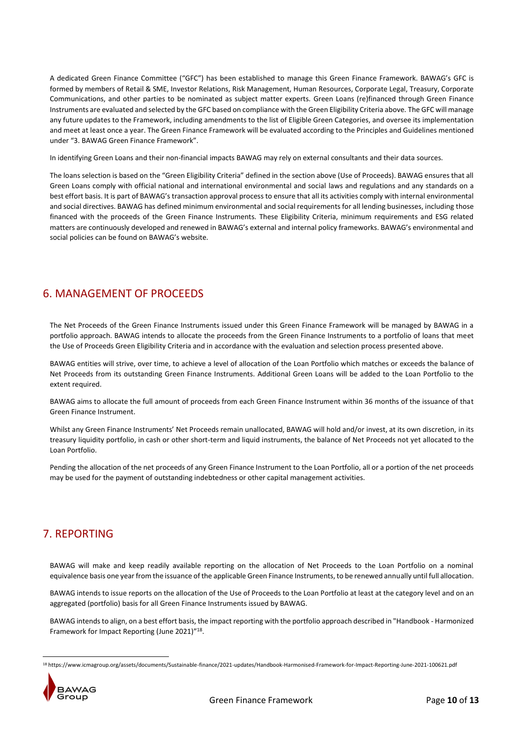A dedicated Green Finance Committee ("GFC") has been established to manage this Green Finance Framework. BAWAG's GFC is formed by members of Retail & SME, Investor Relations, Risk Management, Human Resources, Corporate Legal, Treasury, Corporate Communications, and other parties to be nominated as subject matter experts. Green Loans (re)financed through Green Finance Instruments are evaluated and selected by the GFC based on compliance with the Green Eligibility Criteria above. The GFC will manage any future updates to the Framework, including amendments to the list of Eligible Green Categories, and oversee its implementation and meet at least once a year. The Green Finance Framework will be evaluated according to the Principles and Guidelines mentioned under "3. BAWAG Green Finance Framework".

In identifying Green Loans and their non-financial impacts BAWAG may rely on external consultants and their data sources.

The loans selection is based on the "Green Eligibility Criteria" defined in the section above (Use of Proceeds). BAWAG ensures that all Green Loans comply with official national and international environmental and social laws and regulations and any standards on a best effort basis. It is part of BAWAG's transaction approval process to ensure that all its activities comply with internal environmental and social directives. BAWAG has defined minimum environmental and social requirements for all lending businesses, including those financed with the proceeds of the Green Finance Instruments. These Eligibility Criteria, minimum requirements and ESG related matters are continuously developed and renewed in BAWAG's external and internal policy frameworks. BAWAG's environmental and social policies can be found on BAWAG's [website.](https://www.bawaggroup.com/BAWAGGROUP/IR/EN/ESG)

# 6. MANAGEMENT OF PROCEEDS

The Net Proceeds of the Green Finance Instruments issued under this Green Finance Framework will be managed by BAWAG in a portfolio approach. BAWAG intends to allocate the proceeds from the Green Finance Instruments to a portfolio of loans that meet the Use of Proceeds Green Eligibility Criteria and in accordance with the evaluation and selection process presented above.

BAWAG entities will strive, over time, to achieve a level of allocation of the Loan Portfolio which matches or exceeds the balance of Net Proceeds from its outstanding Green Finance Instruments. Additional Green Loans will be added to the Loan Portfolio to the extent required.

BAWAG aims to allocate the full amount of proceeds from each Green Finance Instrument within 36 months of the issuance of that Green Finance Instrument.

Whilst any Green Finance Instruments' Net Proceeds remain unallocated, BAWAG will hold and/or invest, at its own discretion, in its treasury liquidity portfolio, in cash or other short-term and liquid instruments, the balance of Net Proceeds not yet allocated to the Loan Portfolio.

Pending the allocation of the net proceeds of any Green Finance Instrument to the Loan Portfolio, all or a portion of the net proceeds may be used for the payment of outstanding indebtedness or other capital management activities.

# 7. REPORTING

BAWAG will make and keep readily available reporting on the allocation of Net Proceeds to the Loan Portfolio on a nominal equivalence basis one year from the issuance of the applicable Green Finance Instruments, to be renewed annually until full allocation.

BAWAG intends to issue reports on the allocation of the Use of Proceeds to the Loan Portfolio at least at the category level and on an aggregated (portfolio) basis for all Green Finance Instruments issued by BAWAG.

BAWAG intends to align, on a best effort basis, the impact reporting with the portfolio approach described in "Handbook - Harmonized Framework for Impact Reporting (June 2021)"<sup>18</sup>.

<sup>18</sup> https://www.icmagroup.org/assets/documents/Sustainable-finance/2021-updates/Handbook-Harmonised-Framework-for-Impact-Reporting-June-2021-100621.pdf



**.**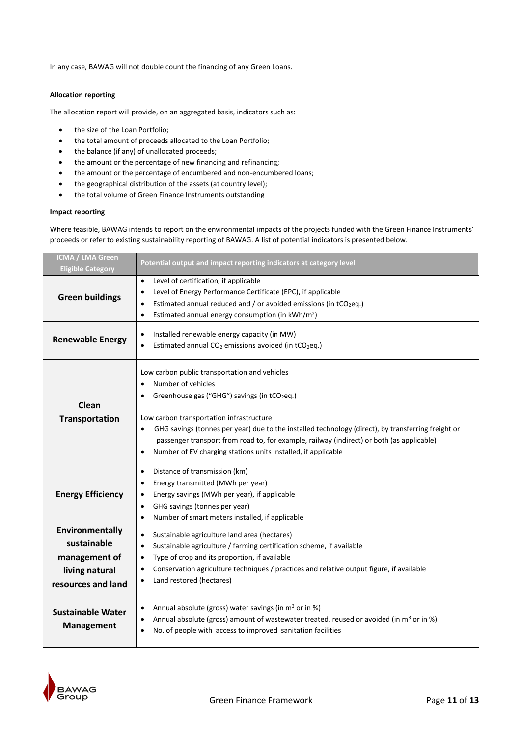In any case, BAWAG will not double count the financing of any Green Loans.

## **Allocation reporting**

The allocation report will provide, on an aggregated basis, indicators such as:

- the size of the Loan Portfolio;
- the total amount of proceeds allocated to the Loan Portfolio;
- the balance (if any) of unallocated proceeds;
- the amount or the percentage of new financing and refinancing;
- the amount or the percentage of encumbered and non-encumbered loans;
- the geographical distribution of the assets (at country level);
- the total volume of Green Finance Instruments outstanding

## **Impact reporting**

Where feasible, BAWAG intends to report on the environmental impacts of the projects funded with the Green Finance Instruments' proceeds or refer to existing sustainability reporting of BAWAG. A list of potential indicators is presented below.

| <b>ICMA / LMA Green</b><br><b>Eligible Category</b>                                     | Potential output and impact reporting indicators at category level                                                                                                                                                                                                                                                                                                                                                                                                                          |
|-----------------------------------------------------------------------------------------|---------------------------------------------------------------------------------------------------------------------------------------------------------------------------------------------------------------------------------------------------------------------------------------------------------------------------------------------------------------------------------------------------------------------------------------------------------------------------------------------|
| <b>Green buildings</b>                                                                  | Level of certification, if applicable<br>$\bullet$<br>Level of Energy Performance Certificate (EPC), if applicable<br>$\bullet$<br>Estimated annual reduced and / or avoided emissions (in tCO <sub>2</sub> eq.)<br>$\bullet$<br>Estimated annual energy consumption (in kWh/m <sup>2</sup> )<br>$\bullet$                                                                                                                                                                                  |
| <b>Renewable Energy</b>                                                                 | Installed renewable energy capacity (in MW)<br>$\bullet$<br>Estimated annual CO <sub>2</sub> emissions avoided (in tCO <sub>2</sub> eq.)                                                                                                                                                                                                                                                                                                                                                    |
| Clean<br><b>Transportation</b>                                                          | Low carbon public transportation and vehicles<br>Number of vehicles<br>$\bullet$<br>Greenhouse gas ("GHG") savings (in tCO <sub>2</sub> eq.)<br>$\bullet$<br>Low carbon transportation infrastructure<br>GHG savings (tonnes per year) due to the installed technology (direct), by transferring freight or<br>٠<br>passenger transport from road to, for example, railway (indirect) or both (as applicable)<br>Number of EV charging stations units installed, if applicable<br>$\bullet$ |
| <b>Energy Efficiency</b>                                                                | Distance of transmission (km)<br>$\bullet$<br>Energy transmitted (MWh per year)<br>$\bullet$<br>Energy savings (MWh per year), if applicable<br>$\bullet$<br>GHG savings (tonnes per year)<br>$\bullet$<br>Number of smart meters installed, if applicable<br>$\bullet$                                                                                                                                                                                                                     |
| Environmentally<br>sustainable<br>management of<br>living natural<br>resources and land | Sustainable agriculture land area (hectares)<br>$\bullet$<br>Sustainable agriculture / farming certification scheme, if available<br>$\bullet$<br>Type of crop and its proportion, if available<br>$\bullet$<br>Conservation agriculture techniques / practices and relative output figure, if available<br>Land restored (hectares)<br>$\bullet$                                                                                                                                           |
| <b>Sustainable Water</b><br><b>Management</b>                                           | Annual absolute (gross) water savings (in $m3$ or in %)<br>$\bullet$<br>Annual absolute (gross) amount of wastewater treated, reused or avoided (in m <sup>3</sup> or in %)<br>$\bullet$<br>No. of people with access to improved sanitation facilities<br>$\bullet$                                                                                                                                                                                                                        |

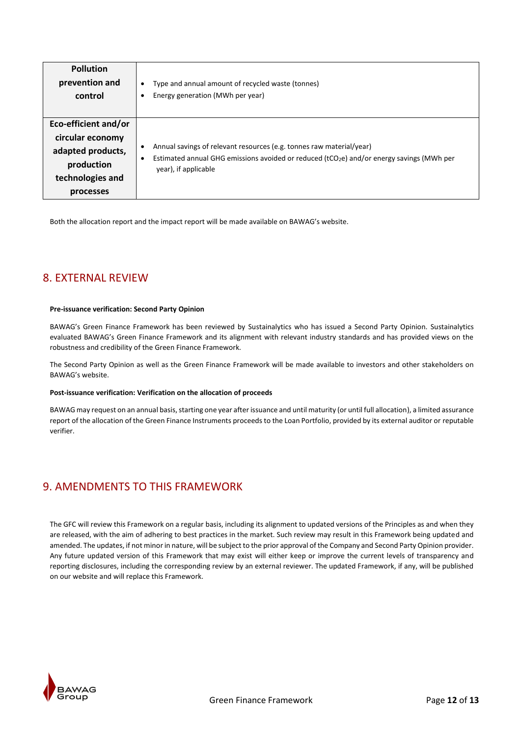| <b>Pollution</b>                                                                                             | Type and annual amount of recycled waste (tonnes)                                                                                                                                            |
|--------------------------------------------------------------------------------------------------------------|----------------------------------------------------------------------------------------------------------------------------------------------------------------------------------------------|
| prevention and                                                                                               | ٠                                                                                                                                                                                            |
| control                                                                                                      | Energy generation (MWh per year)                                                                                                                                                             |
| Eco-efficient and/or<br>circular economy<br>adapted products,<br>production<br>technologies and<br>processes | Annual savings of relevant resources (e.g. tonnes raw material/year)<br>Estimated annual GHG emissions avoided or reduced ( $tCO2e$ ) and/or energy savings (MWh per<br>year), if applicable |

Both the allocation report and the impact report will be made available on BAWAG's website.

# 8. EXTERNAL REVIEW

## **Pre-issuance verification: Second Party Opinion**

BAWAG's Green Finance Framework has been reviewed by Sustainalytics who has issued a Second Party Opinion. Sustainalytics evaluated BAWAG's Green Finance Framework and its alignment with relevant industry standards and has provided views on the robustness and credibility of the Green Finance Framework.

The Second Party Opinion as well as the Green Finance Framework will be made available to investors and other stakeholders on BAWAG's website.

## **Post-issuance verification: Verification on the allocation of proceeds**

BAWAG may request on an annual basis, starting one year after issuance and until maturity (or until full allocation), a limited assurance report of the allocation of the Green Finance Instruments proceeds to the Loan Portfolio, provided by its external auditor or reputable verifier.

# 9. AMENDMENTS TO THIS FRAMEWORK

The GFC will review this Framework on a regular basis, including its alignment to updated versions of the Principles as and when they are released, with the aim of adhering to best practices in the market. Such review may result in this Framework being updated and amended. The updates, if not minor in nature, will be subject to the prior approval of the Company and Second Party Opinion provider. Any future updated version of this Framework that may exist will either keep or improve the current levels of transparency and reporting disclosures, including the corresponding review by an external reviewer. The updated Framework, if any, will be published on our website and will replace this Framework.